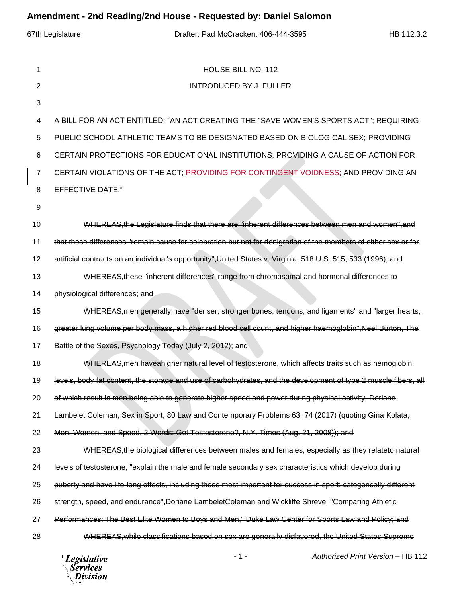| Amendment - 2nd Reading/2nd House - Requested by: Daniel Salomon |                |                                                                                                                  |  |  |  |  |  |  |  |  |  |  |
|------------------------------------------------------------------|----------------|------------------------------------------------------------------------------------------------------------------|--|--|--|--|--|--|--|--|--|--|
|                                                                  |                | 67th Legislature<br>Drafter: Pad McCracken, 406-444-3595<br>HB 112.3.2                                           |  |  |  |  |  |  |  |  |  |  |
|                                                                  |                |                                                                                                                  |  |  |  |  |  |  |  |  |  |  |
|                                                                  | 1              | HOUSE BILL NO. 112                                                                                               |  |  |  |  |  |  |  |  |  |  |
|                                                                  | $\overline{2}$ | <b>INTRODUCED BY J. FULLER</b>                                                                                   |  |  |  |  |  |  |  |  |  |  |
|                                                                  | 3              |                                                                                                                  |  |  |  |  |  |  |  |  |  |  |
|                                                                  | 4              | A BILL FOR AN ACT ENTITLED: "AN ACT CREATING THE "SAVE WOMEN'S SPORTS ACT"; REQUIRING                            |  |  |  |  |  |  |  |  |  |  |
|                                                                  | 5              | PUBLIC SCHOOL ATHLETIC TEAMS TO BE DESIGNATED BASED ON BIOLOGICAL SEX; PROVIDING                                 |  |  |  |  |  |  |  |  |  |  |
|                                                                  | 6              | CERTAIN PROTECTIONS FOR EDUCATIONAL INSTITUTIONS: PROVIDING A CAUSE OF ACTION FOR                                |  |  |  |  |  |  |  |  |  |  |
|                                                                  | $\overline{7}$ | CERTAIN VIOLATIONS OF THE ACT; PROVIDING FOR CONTINGENT VOIDNESS; AND PROVIDING AN                               |  |  |  |  |  |  |  |  |  |  |
|                                                                  | 8              | <b>EFFECTIVE DATE."</b>                                                                                          |  |  |  |  |  |  |  |  |  |  |
|                                                                  | 9              |                                                                                                                  |  |  |  |  |  |  |  |  |  |  |
|                                                                  | 10             | WHEREAS, the Legislature finds that there are "inherent differences between men and women", and                  |  |  |  |  |  |  |  |  |  |  |
|                                                                  | 11             | that these differences "remain cause for celebration but not for denigration of the members of either sex or for |  |  |  |  |  |  |  |  |  |  |
|                                                                  | 12             | artificial contracts on an individual's opportunity", United States v. Virginia, 518 U.S. 515, 533 (1996); and   |  |  |  |  |  |  |  |  |  |  |
|                                                                  | 13             | WHEREAS, these "inherent differences" range from chromosomal and hormonal differences to                         |  |  |  |  |  |  |  |  |  |  |
|                                                                  | 14             | physiological differences; and                                                                                   |  |  |  |  |  |  |  |  |  |  |
|                                                                  | 15             | WHEREAS, men generally have "denser, stronger bones, tendons, and ligaments" and "larger hearts,                 |  |  |  |  |  |  |  |  |  |  |
|                                                                  | 16             | greater lung volume per body mass, a higher red blood cell count, and higher haemoglobin", Neel Burton, The      |  |  |  |  |  |  |  |  |  |  |
|                                                                  | 17             | Battle of the Sexes, Psychology Today (July 2, 2012); and                                                        |  |  |  |  |  |  |  |  |  |  |
|                                                                  | 18             | WHEREAS, men haveahigher natural level of testosterone, which affects traits such as hemoglobin                  |  |  |  |  |  |  |  |  |  |  |
|                                                                  | 19             | levels, body fat content, the storage and use of carbohydrates, and the development of type 2 muscle fibers, all |  |  |  |  |  |  |  |  |  |  |
|                                                                  | 20             | of which result in men being able to generate higher speed and power during physical activity, Doriane           |  |  |  |  |  |  |  |  |  |  |
|                                                                  | 21             | Lambelet Coleman, Sex in Sport, 80 Law and Contemporary Problems 63, 74 (2017) (quoting Gina Kolata,             |  |  |  |  |  |  |  |  |  |  |
|                                                                  | 22             | Men, Women, and Speed. 2 Words: Got Testosterone?, N.Y. Times (Aug. 21, 2008)); and                              |  |  |  |  |  |  |  |  |  |  |
|                                                                  | 23             | WHEREAS, the biological differences between males and females, especially as they relateto natural               |  |  |  |  |  |  |  |  |  |  |
|                                                                  | 24             | levels of testosterone, "explain the male and female secondary sex characteristics which develop during          |  |  |  |  |  |  |  |  |  |  |
|                                                                  | 25             | puberty and have life-long effects, including those most important for success in sport: categorically different |  |  |  |  |  |  |  |  |  |  |
|                                                                  | 26             | strength, speed, and endurance", Doriane Lambelet Coleman and Wickliffe Shreve, "Comparing Athletic              |  |  |  |  |  |  |  |  |  |  |
|                                                                  | 27             | Performances: The Best Elite Women to Boys and Men," Duke Law Center for Sports Law and Policy; and              |  |  |  |  |  |  |  |  |  |  |
|                                                                  | 28             | WHEREAS, while classifications based on sex are generally disfavored, the United States Supreme                  |  |  |  |  |  |  |  |  |  |  |

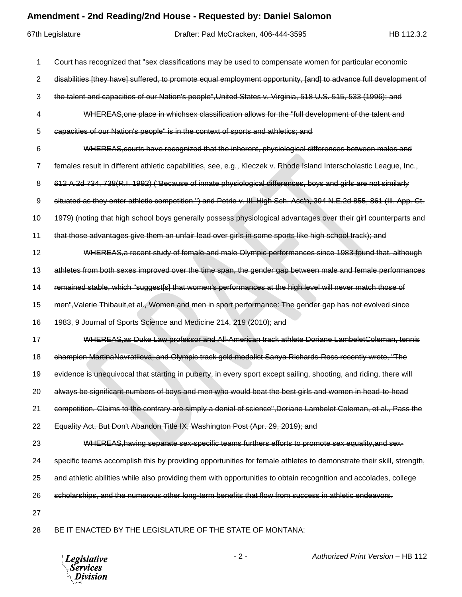## **Amendment - 2nd Reading/2nd House - Requested by: Daniel Salomon**

67th Legislature Drafter: Pad McCracken, 406-444-3595 HB 112.3.2 Court has recognized that "sex classifications may be used to compensate women for particular economic 2 disabilities [they have] suffered, to promote equal employment opportunity, [and] to advance full development of the talent and capacities of our Nation's people",United States v. Virginia, 518 U.S. 515, 533 (1996); and WHEREAS,one place in whichsex classification allows for the "full development of the talent and capacities of our Nation's people" is in the context of sports and athletics; and WHEREAS,courts have recognized that the inherent, physiological differences between males and 7 females result in different athletic capabilities, see, e.g., Kleczek v. Rhode Island Interscholastic League, Inc., 612 A.2d 734, 738(R.I. 1992) ("Because of innate physiological differences, boys and girls are not similarly situated as they enter athletic competition.") and Petrie v. Ill. High Sch. Ass'n, 394 N.E.2d 855, 861 (Ill. App. Ct. 1979) (noting that high school boys generally possess physiological advantages over their girl counterparts and that those advantages give them an unfair lead over girls in some sports like high school track); and WHEREAS,a recent study of female and male Olympic performances since 1983 found that, although 13 athletes from both sexes improved over the time span, the gender gap between male and female performances remained stable, which "suggest[s] that women's performances at the high level will never match those of men",Valerie Thibault,et al., Women and men in sport performance: The gender gap has not evolved since 1983, 9 Journal of Sports Science and Medicine 214, 219 (2010); and WHEREAS,as Duke Law professor and All-American track athlete Doriane LambeletColeman, tennis 18 champion MartinaNavratilova, and Olympic track gold medalist Sanya Richards-Ross recently wrote, "The 19 evidence is unequivocal that starting in puberty, in every sport except sailing, shooting, and riding, there will always be significant numbers of boys and men who would beat the best girls and women in head-to-head 21 competition. Claims to the contrary are simply a denial of science", Doriane Lambelet Coleman, et al., Pass the Equality Act, But Don't Abandon Title IX, Washington Post (Apr. 29, 2019); and 23 WHEREAS, having separate sex-specific teams furthers efforts to promote sex equality, and sex- specific teams accomplish this by providing opportunities for female athletes to demonstrate their skill, strength, and athletic abilities while also providing them with opportunities to obtain recognition and accolades, college scholarships, and the numerous other long-term benefits that flow from success in athletic endeavors. BE IT ENACTED BY THE LEGISLATURE OF THE STATE OF MONTANA:

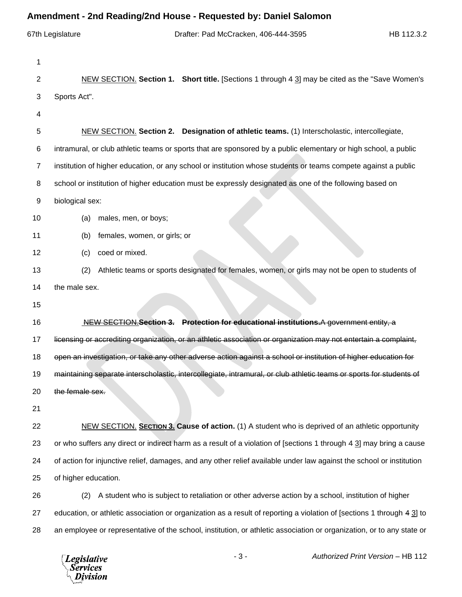## **Amendment - 2nd Reading/2nd House - Requested by: Daniel Salomon**

|                | AMENTIFIK - ZNU NGAUNG/ZNU HOUSE - NGYUGSIGU DY. DANIGI OAIOMON                                                        |
|----------------|------------------------------------------------------------------------------------------------------------------------|
|                | 67th Legislature<br>Drafter: Pad McCracken, 406-444-3595<br>HB 112.3.2                                                 |
| 1              |                                                                                                                        |
| 2              | NEW SECTION. Section 1. Short title. [Sections 1 through 4 3] may be cited as the "Save Women's                        |
| 3              | Sports Act".                                                                                                           |
| 4              |                                                                                                                        |
| 5              | NEW SECTION. Section 2. Designation of athletic teams. (1) Interscholastic, intercollegiate,                           |
| 6              | intramural, or club athletic teams or sports that are sponsored by a public elementary or high school, a public        |
| $\overline{7}$ | institution of higher education, or any school or institution whose students or teams compete against a public         |
| 8              | school or institution of higher education must be expressly designated as one of the following based on                |
| 9              | biological sex:                                                                                                        |
| 10             | males, men, or boys;<br>(a)                                                                                            |
| 11             | females, women, or girls; or<br>(b)                                                                                    |
| 12             | coed or mixed.<br>(c)                                                                                                  |
| 13             | Athletic teams or sports designated for females, women, or girls may not be open to students of<br>(2)                 |
| 14             | the male sex.                                                                                                          |
| 15             |                                                                                                                        |
| 16             | NEW SECTION Section 3. Protection for educational institutions.A government entity, a                                  |
| 17             | licensing or accrediting organization, or an athletic association or organization may not entertain a complaint,       |
| 18             | open an investigation, or take any other adverse action against a school or institution of higher education for        |
| 19             | maintaining separate interscholastic, intercollegiate, intramural, or club athletic teams or sports for students of    |
| 20             | the female sex.                                                                                                        |
| 21             |                                                                                                                        |
| 22             | NEW SECTION. SECTION 3. Cause of action. (1) A student who is deprived of an athletic opportunity                      |
| 23             | or who suffers any direct or indirect harm as a result of a violation of [sections 1 through 4 3] may bring a cause    |
| 24             | of action for injunctive relief, damages, and any other relief available under law against the school or institution   |
| 25             | of higher education.                                                                                                   |
| 26             | A student who is subject to retaliation or other adverse action by a school, institution of higher<br>(2)              |
| 27             | education, or athletic association or organization as a result of reporting a violation of [sections 1 through 4 3] to |
| 28             | an employee or representative of the school, institution, or athletic association or organization, or to any state or  |
|                |                                                                                                                        |